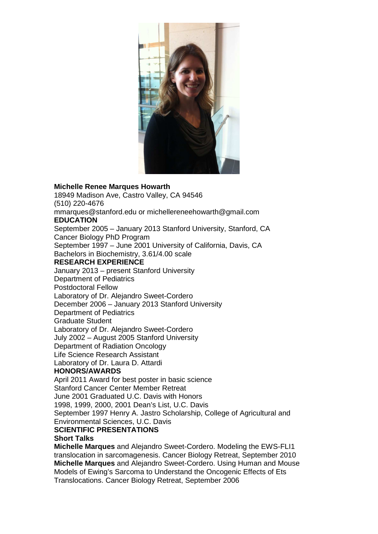

## **Michelle Renee Marques Howarth**

18949 Madison Ave, Castro Valley, CA 94546 (510) 220-4676 mmarques@stanford.edu or michellereneehowarth@gmail.com **EDUCATION**  September 2005 – January 2013 Stanford University, Stanford, CA Cancer Biology PhD Program September 1997 – June 2001 University of California, Davis, CA Bachelors in Biochemistry, 3.61/4.00 scale **RESEARCH EXPERIENCE**  January 2013 – present Stanford University Department of Pediatrics Postdoctoral Fellow Laboratory of Dr. Alejandro Sweet-Cordero December 2006 – January 2013 Stanford University Department of Pediatrics Graduate Student Laboratory of Dr. Alejandro Sweet-Cordero July 2002 – August 2005 Stanford University Department of Radiation Oncology Life Science Research Assistant Laboratory of Dr. Laura D. Attardi **HONORS/AWARDS**  April 2011 Award for best poster in basic science Stanford Cancer Center Member Retreat June 2001 Graduated U.C. Davis with Honors 1998, 1999, 2000, 2001 Dean's List, U.C. Davis September 1997 Henry A. Jastro Scholarship, College of Agricultural and Environmental Sciences, U.C. Davis **SCIENTIFIC PRESENTATIONS** 

## **Short Talks Michelle Marques** and Alejandro Sweet-Cordero. Modeling the EWS-FLI1 translocation in sarcomagenesis. Cancer Biology Retreat, September 2010 **Michelle Marques** and Alejandro Sweet-Cordero. Using Human and Mouse Models of Ewing's Sarcoma to Understand the Oncogenic Effects of Ets Translocations. Cancer Biology Retreat, September 2006